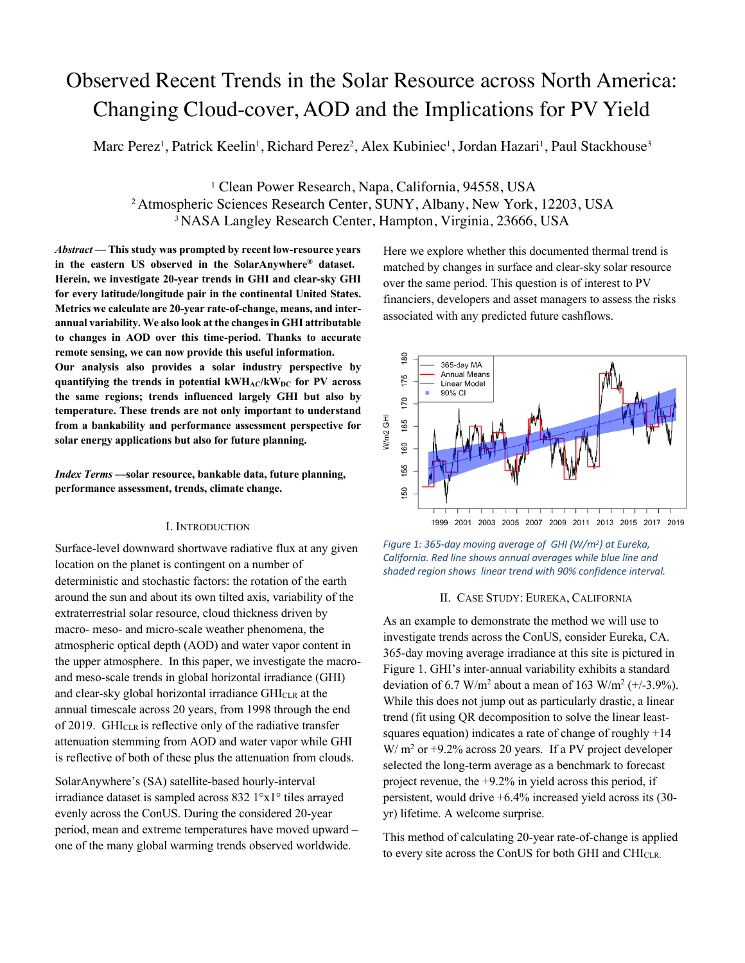# Observed Recent Trends in the Solar Resource across North America: Changing Cloud-cover, AOD and the Implications for PV Yield

Marc Perez<sup>1</sup>, Patrick Keelin<sup>1</sup>, Richard Perez<sup>2</sup>, Alex Kubiniec<sup>1</sup>, Jordan Hazari<sup>1</sup>, Paul Stackhouse<sup>3</sup>

<sup>1</sup> Clean Power Research, Napa, California, 94558, USA <sup>2</sup> Atmospheric Sciences Research Center, SUNY, Albany, New York, 12203, USA 3 NASA Langley Research Center, Hampton, Virginia, 23666, USA

*Abstract* **— This study was prompted by recent low-resource years in the eastern US observed in the SolarAnywhere® dataset. Herein, we investigate 20-year trends in GHI and clear-sky GHI for every latitude/longitude pair in the continental United States. Metrics we calculate are 20-year rate-of-change, means, and interannual variability. We also look at the changesin GHI attributable to changes in AOD over this time-period. Thanks to accurate remote sensing, we can now provide this useful information. Our analysis also provides a solar industry perspective by quantifying the trends in potential kWHAC/kWDC for PV across the same regions; trends influenced largely GHI but also by temperature. These trends are not only important to understand from a bankability and performance assessment perspective for solar energy applications but also for future planning.** 

*Index Terms* **—solar resource, bankable data, future planning, performance assessment, trends, climate change.** 

### I. INTRODUCTION

Surface-level downward shortwave radiative flux at any given location on the planet is contingent on a number of deterministic and stochastic factors: the rotation of the earth around the sun and about its own tilted axis, variability of the extraterrestrial solar resource, cloud thickness driven by macro- meso- and micro-scale weather phenomena, the atmospheric optical depth (AOD) and water vapor content in the upper atmosphere. In this paper, we investigate the macroand meso-scale trends in global horizontal irradiance (GHI) and clear-sky global horizontal irradiance GHICLR at the annual timescale across 20 years, from 1998 through the end of 2019. GHI<sub>CLR</sub> is reflective only of the radiative transfer attenuation stemming from AOD and water vapor while GHI is reflective of both of these plus the attenuation from clouds.

SolarAnywhere's (SA) satellite-based hourly-interval irradiance dataset is sampled across 832 1°x1° tiles arrayed evenly across the ConUS. During the considered 20-year period, mean and extreme temperatures have moved upward – one of the many global warming trends observed worldwide.

Here we explore whether this documented thermal trend is matched by changes in surface and clear-sky solar resource over the same period. This question is of interest to PV financiers, developers and asset managers to assess the risks associated with any predicted future cashflows.



*Figure 1: 365-day moving average of GHI (W/m2) at Eureka, California. Red line shows annual averages while blue line and shaded region shows linear trend with 90% confidence interval.* 

#### II. CASE STUDY: EUREKA, CALIFORNIA

As an example to demonstrate the method we will use to investigate trends across the ConUS, consider Eureka, CA. 365-day moving average irradiance at this site is pictured in Figure 1. GHI's inter-annual variability exhibits a standard deviation of 6.7 W/m<sup>2</sup> about a mean of 163 W/m<sup>2</sup> ( $+/-3.9\%$ ). While this does not jump out as particularly drastic, a linear trend (fit using QR decomposition to solve the linear leastsquares equation) indicates a rate of change of roughly +14  $W/m<sup>2</sup>$  or +9.2% across 20 years. If a PV project developer selected the long-term average as a benchmark to forecast project revenue, the +9.2% in yield across this period, if persistent, would drive +6.4% increased yield across its (30 yr) lifetime. A welcome surprise.

This method of calculating 20-year rate-of-change is applied to every site across the ConUS for both GHI and CHICLR.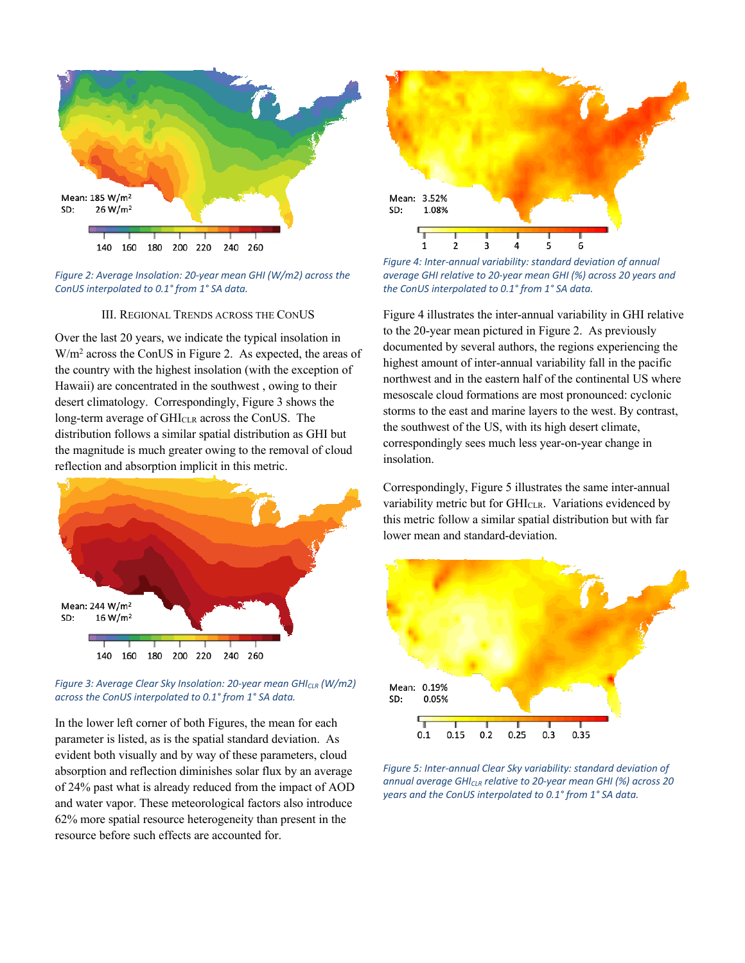



# III. REGIONAL TRENDS ACROSS THE CONUS

Over the last 20 years, we indicate the typical insolation in W/m<sup>2</sup> across the ConUS in Figure 2. As expected, the areas of the country with the highest insolation (with the exception of Hawaii) are concentrated in the southwest , owing to their desert climatology. Correspondingly, Figure 3 shows the long-term average of GHI<sub>CLR</sub> across the ConUS. The distribution follows a similar spatial distribution as GHI but the magnitude is much greater owing to the removal of cloud reflection and absorption implicit in this metric.



*Figure 3: Average Clear Sky Insolation: 20-year mean GHI<sub>CLR</sub> (W/m2) across the ConUS interpolated to 0.1° from 1° SA data.* 

In the lower left corner of both Figures, the mean for each parameter is listed, as is the spatial standard deviation. As evident both visually and by way of these parameters, cloud absorption and reflection diminishes solar flux by an average of 24% past what is already reduced from the impact of AOD and water vapor. These meteorological factors also introduce 62% more spatial resource heterogeneity than present in the resource before such effects are accounted for.



*Figure 4: Inter-annual variability: standard deviation of annual average GHI relative to 20-year mean GHI (%) across 20 years and the ConUS interpolated to 0.1° from 1° SA data.* 

Figure 4 illustrates the inter-annual variability in GHI relative to the 20-year mean pictured in Figure 2. As previously documented by several authors, the regions experiencing the highest amount of inter-annual variability fall in the pacific northwest and in the eastern half of the continental US where mesoscale cloud formations are most pronounced: cyclonic storms to the east and marine layers to the west. By contrast, the southwest of the US, with its high desert climate, correspondingly sees much less year-on-year change in insolation.

Correspondingly, Figure 5 illustrates the same inter-annual variability metric but for  $\text{GHI}_{\text{CLR}}$ . Variations evidenced by this metric follow a similar spatial distribution but with far lower mean and standard-deviation.



*Figure 5: Inter-annual Clear Sky variability: standard deviation of annual average GHICLR relative to 20-year mean GHI (%) across 20 years and the ConUS interpolated to 0.1° from 1° SA data.*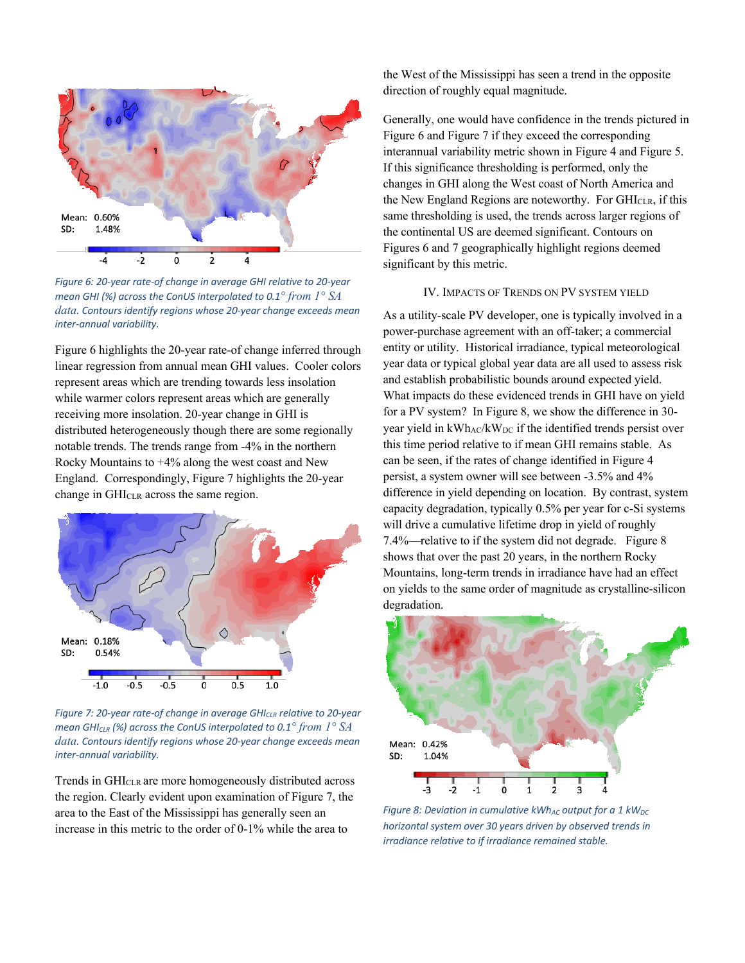

*Figure 6: 20-year rate-of change in average GHI relative to 20-year mean GHI (%) across the ConUS interpolated to 0.1° from 1° SA data. Contours identify regions whose 20-year change exceeds mean inter-annual variability.*

Figure 6 highlights the 20-year rate-of change inferred through linear regression from annual mean GHI values. Cooler colors represent areas which are trending towards less insolation while warmer colors represent areas which are generally receiving more insolation. 20-year change in GHI is distributed heterogeneously though there are some regionally notable trends. The trends range from -4% in the northern Rocky Mountains to +4% along the west coast and New England. Correspondingly, Figure 7 highlights the 20-year change in GHI<sub>CLR</sub> across the same region.



*Figure 7: 20-year rate-of change in average GHICLR relative to 20-year mean GHICLR (%) across the ConUS interpolated to 0.1° from 1° SA data. Contours identify regions whose 20-year change exceeds mean inter-annual variability.*

Trends in GHICLR are more homogeneously distributed across the region. Clearly evident upon examination of Figure 7, the area to the East of the Mississippi has generally seen an increase in this metric to the order of 0-1% while the area to

the West of the Mississippi has seen a trend in the opposite direction of roughly equal magnitude.

Generally, one would have confidence in the trends pictured in Figure 6 and Figure 7 if they exceed the corresponding interannual variability metric shown in Figure 4 and Figure 5. If this significance thresholding is performed, only the changes in GHI along the West coast of North America and the New England Regions are noteworthy. For GHICLR, if this same thresholding is used, the trends across larger regions of the continental US are deemed significant. Contours on Figures 6 and 7 geographically highlight regions deemed significant by this metric.

## IV. IMPACTS OF TRENDS ON PV SYSTEM YIELD

As a utility-scale PV developer, one is typically involved in a power-purchase agreement with an off-taker; a commercial entity or utility. Historical irradiance, typical meteorological year data or typical global year data are all used to assess risk and establish probabilistic bounds around expected yield. What impacts do these evidenced trends in GHI have on yield for a PV system? In Figure 8, we show the difference in 30 year yield in kWhAC/kW<sub>DC</sub> if the identified trends persist over this time period relative to if mean GHI remains stable. As can be seen, if the rates of change identified in Figure 4 persist, a system owner will see between -3.5% and 4% difference in yield depending on location. By contrast, system capacity degradation, typically 0.5% per year for c-Si systems will drive a cumulative lifetime drop in yield of roughly 7.4%—relative to if the system did not degrade. Figure 8 shows that over the past 20 years, in the northern Rocky Mountains, long-term trends in irradiance have had an effect on yields to the same order of magnitude as crystalline-silicon degradation.



*Figure 8: Deviation in cumulative kWh<sub>AC</sub> output for a 1 kW<sub>DC</sub> horizontal system over 30 years driven by observed trends in irradiance relative to if irradiance remained stable.*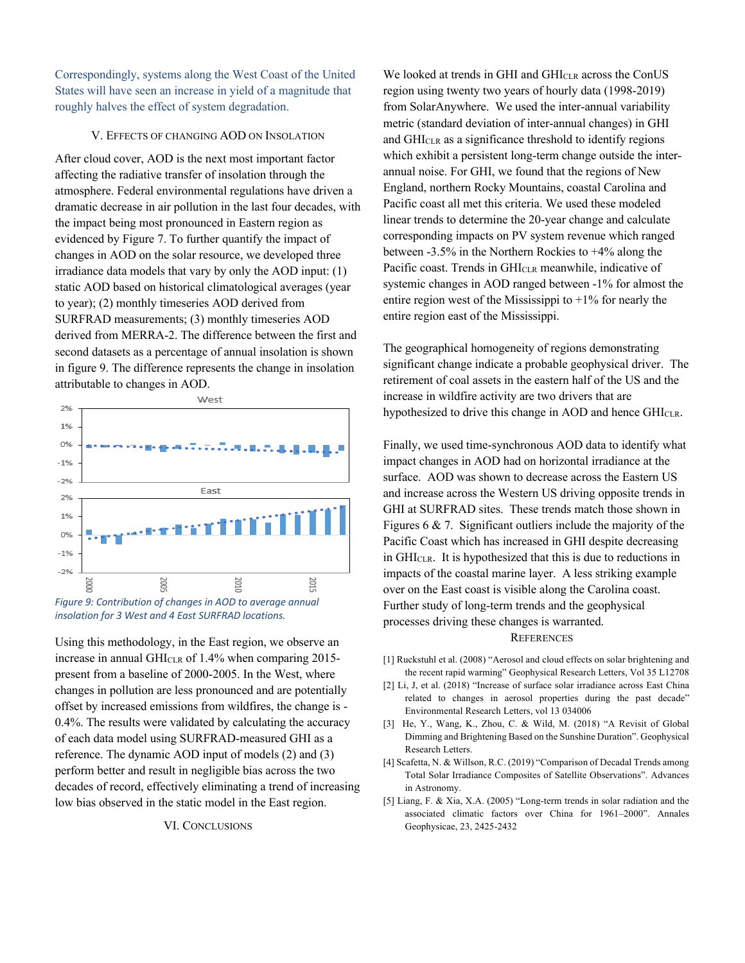Correspondingly, systems along the West Coast of the United States will have seen an increase in yield of a magnitude that roughly halves the effect of system degradation.

# V. EFFECTS OF CHANGING AOD ON INSOLATION

After cloud cover, AOD is the next most important factor affecting the radiative transfer of insolation through the atmosphere. Federal environmental regulations have driven a dramatic decrease in air pollution in the last four decades, with the impact being most pronounced in Eastern region as evidenced by Figure 7. To further quantify the impact of changes in AOD on the solar resource, we developed three irradiance data models that vary by only the AOD input: (1) static AOD based on historical climatological averages (year to year); (2) monthly timeseries AOD derived from SURFRAD measurements; (3) monthly timeseries AOD derived from MERRA-2. The difference between the first and second datasets as a percentage of annual insolation is shown in figure 9. The difference represents the change in insolation attributable to changes in AOD.





Using this methodology, in the East region, we observe an increase in annual GHICLR of 1.4% when comparing 2015 present from a baseline of 2000-2005. In the West, where changes in pollution are less pronounced and are potentially offset by increased emissions from wildfires, the change is - 0.4%. The results were validated by calculating the accuracy of each data model using SURFRAD-measured GHI as a reference. The dynamic AOD input of models (2) and (3) perform better and result in negligible bias across the two decades of record, effectively eliminating a trend of increasing low bias observed in the static model in the East region.

### VI. CONCLUSIONS

We looked at trends in GHI and GHICLR across the ConUS region using twenty two years of hourly data (1998-2019) from SolarAnywhere. We used the inter-annual variability metric (standard deviation of inter-annual changes) in GHI and GHICLR as a significance threshold to identify regions which exhibit a persistent long-term change outside the interannual noise. For GHI, we found that the regions of New England, northern Rocky Mountains, coastal Carolina and Pacific coast all met this criteria. We used these modeled linear trends to determine the 20-year change and calculate corresponding impacts on PV system revenue which ranged between -3.5% in the Northern Rockies to +4% along the Pacific coast. Trends in GHICLR meanwhile, indicative of systemic changes in AOD ranged between -1% for almost the entire region west of the Mississippi to  $+1\%$  for nearly the entire region east of the Mississippi.

The geographical homogeneity of regions demonstrating significant change indicate a probable geophysical driver. The retirement of coal assets in the eastern half of the US and the increase in wildfire activity are two drivers that are hypothesized to drive this change in AOD and hence GHICLR.

Finally, we used time-synchronous AOD data to identify what impact changes in AOD had on horizontal irradiance at the surface. AOD was shown to decrease across the Eastern US and increase across the Western US driving opposite trends in GHI at SURFRAD sites. These trends match those shown in Figures 6 & 7. Significant outliers include the majority of the Pacific Coast which has increased in GHI despite decreasing in GHICLR. It is hypothesized that this is due to reductions in impacts of the coastal marine layer. A less striking example over on the East coast is visible along the Carolina coast. Further study of long-term trends and the geophysical processes driving these changes is warranted. **REFERENCES** 

- [1] Ruckstuhl et al. (2008) "Aerosol and cloud effects on solar brightening and the recent rapid warming" Geophysical Research Letters, Vol 35 L12708
- [2] Li, J, et al. (2018) "Increase of surface solar irradiance across East China related to changes in aerosol properties during the past decade" Environmental Research Letters, vol 13 034006
- [3] He, Y., Wang, K., Zhou, C. & Wild, M. (2018) "A Revisit of Global Dimming and Brightening Based on the Sunshine Duration". Geophysical Research Letters.
- [4] Scafetta, N. & Willson, R.C. (2019) "Comparison of Decadal Trends among Total Solar Irradiance Composites of Satellite Observations". Advances in Astronomy.
- [5] Liang, F. & Xia, X.A. (2005) "Long-term trends in solar radiation and the associated climatic factors over China for 1961–2000". Annales Geophysicae, 23, 2425-2432